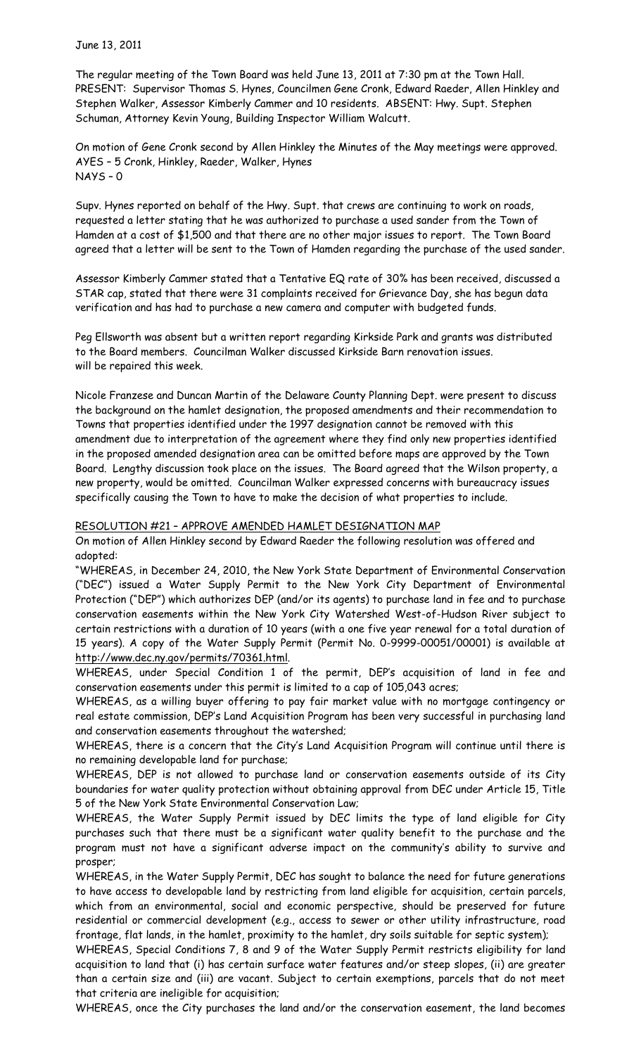The regular meeting of the Town Board was held June 13, 2011 at 7:30 pm at the Town Hall. PRESENT: Supervisor Thomas S. Hynes, Councilmen Gene Cronk, Edward Raeder, Allen Hinkley and Stephen Walker, Assessor Kimberly Cammer and 10 residents. ABSENT: Hwy. Supt. Stephen Schuman, Attorney Kevin Young, Building Inspector William Walcutt.

On motion of Gene Cronk second by Allen Hinkley the Minutes of the May meetings were approved. AYES – 5 Cronk, Hinkley, Raeder, Walker, Hynes NAYS – 0

Supv. Hynes reported on behalf of the Hwy. Supt. that crews are continuing to work on roads, requested a letter stating that he was authorized to purchase a used sander from the Town of Hamden at a cost of \$1,500 and that there are no other major issues to report. The Town Board agreed that a letter will be sent to the Town of Hamden regarding the purchase of the used sander.

Assessor Kimberly Cammer stated that a Tentative EQ rate of 30% has been received, discussed a STAR cap, stated that there were 31 complaints received for Grievance Day, she has begun data verification and has had to purchase a new camera and computer with budgeted funds.

Peg Ellsworth was absent but a written report regarding Kirkside Park and grants was distributed to the Board members. Councilman Walker discussed Kirkside Barn renovation issues. will be repaired this week.

Nicole Franzese and Duncan Martin of the Delaware County Planning Dept. were present to discuss the background on the hamlet designation, the proposed amendments and their recommendation to Towns that properties identified under the 1997 designation cannot be removed with this amendment due to interpretation of the agreement where they find only new properties identified in the proposed amended designation area can be omitted before maps are approved by the Town Board. Lengthy discussion took place on the issues. The Board agreed that the Wilson property, a new property, would be omitted. Councilman Walker expressed concerns with bureaucracy issues specifically causing the Town to have to make the decision of what properties to include.

#### RESOLUTION #21 – APPROVE AMENDED HAMLET DESIGNATION MAP

On motion of Allen Hinkley second by Edward Raeder the following resolution was offered and adopted:

"WHEREAS, in December 24, 2010, the New York State Department of Environmental Conservation ("DEC") issued a Water Supply Permit to the New York City Department of Environmental Protection ("DEP") which authorizes DEP (and/or its agents) to purchase land in fee and to purchase conservation easements within the New York City Watershed West-of-Hudson River subject to certain restrictions with a duration of 10 years (with a one five year renewal for a total duration of 15 years). A copy of the Water Supply Permit (Permit No. 0-9999-00051/00001) is available at http://www.dec.ny.gov/permits/70361.html.

WHEREAS, under Special Condition 1 of the permit, DEP's acquisition of land in fee and conservation easements under this permit is limited to a cap of 105,043 acres;

WHEREAS, as a willing buyer offering to pay fair market value with no mortgage contingency or real estate commission, DEP's Land Acquisition Program has been very successful in purchasing land and conservation easements throughout the watershed;

WHEREAS, there is a concern that the City's Land Acquisition Program will continue until there is no remaining developable land for purchase;

WHEREAS, DEP is not allowed to purchase land or conservation easements outside of its City boundaries for water quality protection without obtaining approval from DEC under Article 15, Title 5 of the New York State Environmental Conservation Law;

WHEREAS, the Water Supply Permit issued by DEC limits the type of land eligible for City purchases such that there must be a significant water quality benefit to the purchase and the program must not have a significant adverse impact on the community's ability to survive and prosper;

WHEREAS, in the Water Supply Permit, DEC has sought to balance the need for future generations to have access to developable land by restricting from land eligible for acquisition, certain parcels, which from an environmental, social and economic perspective, should be preserved for future residential or commercial development (e.g., access to sewer or other utility infrastructure, road frontage, flat lands, in the hamlet, proximity to the hamlet, dry soils suitable for septic system);

WHEREAS, Special Conditions 7, 8 and 9 of the Water Supply Permit restricts eligibility for land acquisition to land that (i) has certain surface water features and/or steep slopes, (ii) are greater than a certain size and (iii) are vacant. Subject to certain exemptions, parcels that do not meet that criteria are ineligible for acquisition;

WHEREAS, once the City purchases the land and/or the conservation easement, the land becomes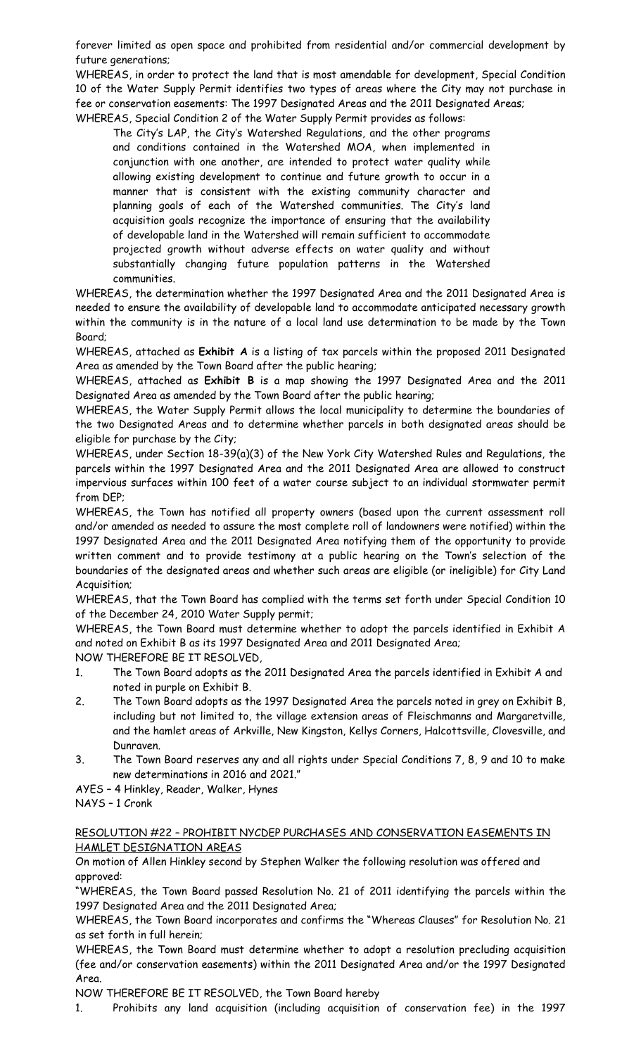forever limited as open space and prohibited from residential and/or commercial development by future generations;

WHEREAS, in order to protect the land that is most amendable for development, Special Condition 10 of the Water Supply Permit identifies two types of areas where the City may not purchase in fee or conservation easements: The 1997 Designated Areas and the 2011 Designated Areas; WHEREAS, Special Condition 2 of the Water Supply Permit provides as follows:

The City's LAP, the City's Watershed Regulations, and the other programs and conditions contained in the Watershed MOA, when implemented in conjunction with one another, are intended to protect water quality while allowing existing development to continue and future growth to occur in a manner that is consistent with the existing community character and planning goals of each of the Watershed communities. The City's land acquisition goals recognize the importance of ensuring that the availability of developable land in the Watershed will remain sufficient to accommodate projected growth without adverse effects on water quality and without substantially changing future population patterns in the Watershed communities.

WHEREAS, the determination whether the 1997 Designated Area and the 2011 Designated Area is needed to ensure the availability of developable land to accommodate anticipated necessary growth within the community is in the nature of a local land use determination to be made by the Town Board;

WHEREAS, attached as **Exhibit A** is a listing of tax parcels within the proposed 2011 Designated Area as amended by the Town Board after the public hearing;

WHEREAS, attached as **Exhibit B** is a map showing the 1997 Designated Area and the 2011 Designated Area as amended by the Town Board after the public hearing;

WHEREAS, the Water Supply Permit allows the local municipality to determine the boundaries of the two Designated Areas and to determine whether parcels in both designated areas should be eligible for purchase by the City;

WHEREAS, under Section 18-39(a)(3) of the New York City Watershed Rules and Regulations, the parcels within the 1997 Designated Area and the 2011 Designated Area are allowed to construct impervious surfaces within 100 feet of a water course subject to an individual stormwater permit from DEP;

WHEREAS, the Town has notified all property owners (based upon the current assessment roll and/or amended as needed to assure the most complete roll of landowners were notified) within the 1997 Designated Area and the 2011 Designated Area notifying them of the opportunity to provide written comment and to provide testimony at a public hearing on the Town's selection of the boundaries of the designated areas and whether such areas are eligible (or ineligible) for City Land Acquisition;

WHEREAS, that the Town Board has complied with the terms set forth under Special Condition 10 of the December 24, 2010 Water Supply permit;

WHEREAS, the Town Board must determine whether to adopt the parcels identified in Exhibit A and noted on Exhibit B as its 1997 Designated Area and 2011 Designated Area; NOW THEREFORE BE IT RESOLVED,

- 1. The Town Board adopts as the 2011 Designated Area the parcels identified in Exhibit A and noted in purple on Exhibit B.
- 2. The Town Board adopts as the 1997 Designated Area the parcels noted in grey on Exhibit B, including but not limited to, the village extension areas of Fleischmanns and Margaretville, and the hamlet areas of Arkville, New Kingston, Kellys Corners, Halcottsville, Clovesville, and Dunraven.
- 3. The Town Board reserves any and all rights under Special Conditions 7, 8, 9 and 10 to make new determinations in 2016 and 2021."
- AYES 4 Hinkley, Reader, Walker, Hynes

# NAYS – 1 Cronk

## RESOLUTION #22 – PROHIBIT NYCDEP PURCHASES AND CONSERVATION EASEMENTS IN HAMLET DESIGNATION AREAS

On motion of Allen Hinkley second by Stephen Walker the following resolution was offered and approved:

"WHEREAS, the Town Board passed Resolution No. 21 of 2011 identifying the parcels within the 1997 Designated Area and the 2011 Designated Area;

WHEREAS, the Town Board incorporates and confirms the "Whereas Clauses" for Resolution No. 21 as set forth in full herein;

WHEREAS, the Town Board must determine whether to adopt a resolution precluding acquisition (fee and/or conservation easements) within the 2011 Designated Area and/or the 1997 Designated Area.

NOW THEREFORE BE IT RESOLVED, the Town Board hereby

1. Prohibits any land acquisition (including acquisition of conservation fee) in the 1997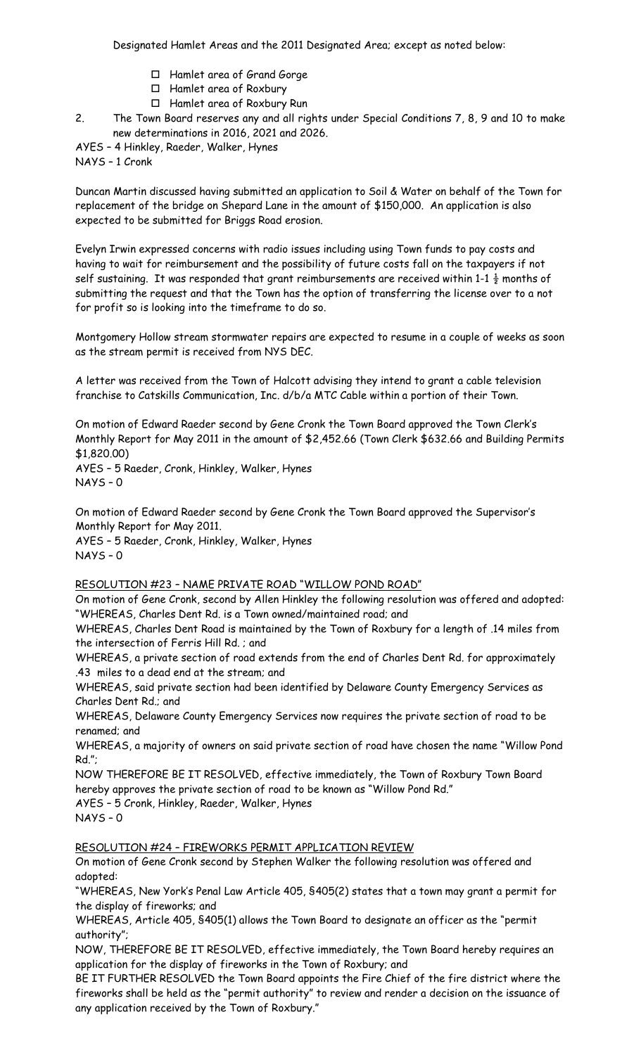- Hamlet area of Grand Gorge
- Hamlet area of Roxbury
- Hamlet area of Roxbury Run

2. The Town Board reserves any and all rights under Special Conditions 7, 8, 9 and 10 to make new determinations in 2016, 2021 and 2026.

AYES – 4 Hinkley, Raeder, Walker, Hynes

NAYS – 1 Cronk

Duncan Martin discussed having submitted an application to Soil & Water on behalf of the Town for replacement of the bridge on Shepard Lane in the amount of \$150,000. An application is also expected to be submitted for Briggs Road erosion.

Evelyn Irwin expressed concerns with radio issues including using Town funds to pay costs and having to wait for reimbursement and the possibility of future costs fall on the taxpayers if not self sustaining. It was responded that grant reimbursements are received within 1-1  $\frac{1}{2}$  months of submitting the request and that the Town has the option of transferring the license over to a not for profit so is looking into the timeframe to do so.

Montgomery Hollow stream stormwater repairs are expected to resume in a couple of weeks as soon as the stream permit is received from NYS DEC.

A letter was received from the Town of Halcott advising they intend to grant a cable television franchise to Catskills Communication, Inc. d/b/a MTC Cable within a portion of their Town.

On motion of Edward Raeder second by Gene Cronk the Town Board approved the Town Clerk's Monthly Report for May 2011 in the amount of \$2,452.66 (Town Clerk \$632.66 and Building Permits \$1,820.00) AYES – 5 Raeder, Cronk, Hinkley, Walker, Hynes

NAYS – 0

On motion of Edward Raeder second by Gene Cronk the Town Board approved the Supervisor's Monthly Report for May 2011.

AYES – 5 Raeder, Cronk, Hinkley, Walker, Hynes NAYS – 0

## RESOLUTION #23 – NAME PRIVATE ROAD "WILLOW POND ROAD"

On motion of Gene Cronk, second by Allen Hinkley the following resolution was offered and adopted: "WHEREAS, Charles Dent Rd. is a Town owned/maintained road; and

WHEREAS, Charles Dent Road is maintained by the Town of Roxbury for a length of .14 miles from the intersection of Ferris Hill Rd. ; and

WHEREAS, a private section of road extends from the end of Charles Dent Rd. for approximately .43 miles to a dead end at the stream; and

WHEREAS, said private section had been identified by Delaware County Emergency Services as Charles Dent Rd.; and

WHEREAS, Delaware County Emergency Services now requires the private section of road to be renamed; and

WHEREAS, a majority of owners on said private section of road have chosen the name "Willow Pond Rd.";

NOW THEREFORE BE IT RESOLVED, effective immediately, the Town of Roxbury Town Board hereby approves the private section of road to be known as "Willow Pond Rd."

AYES – 5 Cronk, Hinkley, Raeder, Walker, Hynes

NAYS – 0

## RESOLUTION #24 – FIREWORKS PERMIT APPLICATION REVIEW

On motion of Gene Cronk second by Stephen Walker the following resolution was offered and adopted:

"WHEREAS, New York's Penal Law Article 405, §405(2) states that a town may grant a permit for the display of fireworks; and

WHEREAS, Article 405, §405(1) allows the Town Board to designate an officer as the "permit authority";

NOW, THEREFORE BE IT RESOLVED, effective immediately, the Town Board hereby requires an application for the display of fireworks in the Town of Roxbury; and

BE IT FURTHER RESOLVED the Town Board appoints the Fire Chief of the fire district where the fireworks shall be held as the "permit authority" to review and render a decision on the issuance of any application received by the Town of Roxbury."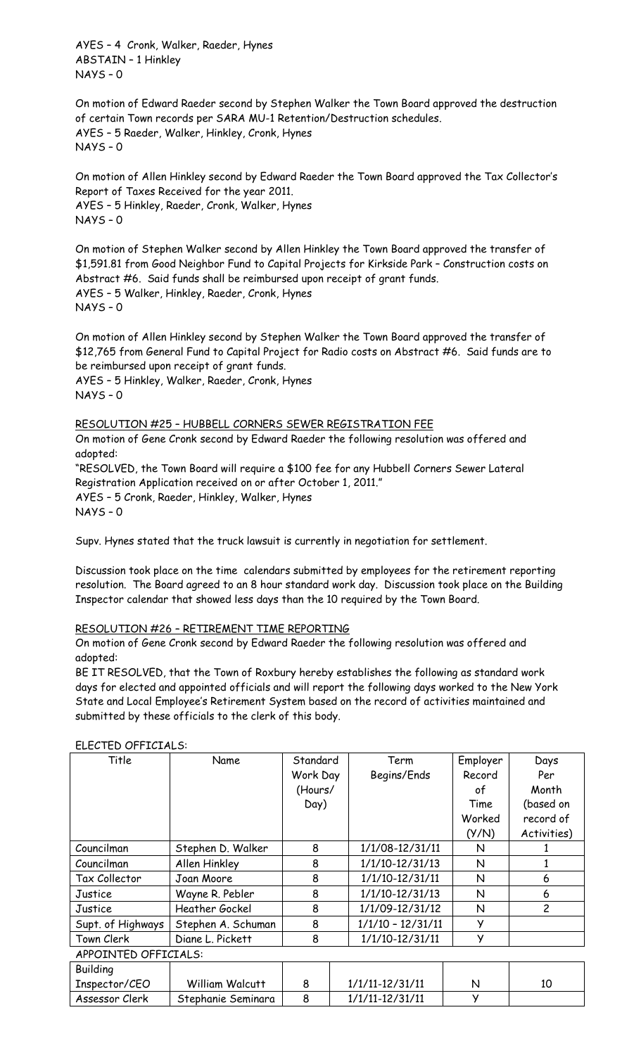AYES – 4 Cronk, Walker, Raeder, Hynes ABSTAIN – 1 Hinkley NAYS – 0

On motion of Edward Raeder second by Stephen Walker the Town Board approved the destruction of certain Town records per SARA MU-1 Retention/Destruction schedules. AYES – 5 Raeder, Walker, Hinkley, Cronk, Hynes NAYS – 0

On motion of Allen Hinkley second by Edward Raeder the Town Board approved the Tax Collector's Report of Taxes Received for the year 2011. AYES – 5 Hinkley, Raeder, Cronk, Walker, Hynes NAYS – 0

On motion of Stephen Walker second by Allen Hinkley the Town Board approved the transfer of \$1,591.81 from Good Neighbor Fund to Capital Projects for Kirkside Park – Construction costs on Abstract #6. Said funds shall be reimbursed upon receipt of grant funds. AYES – 5 Walker, Hinkley, Raeder, Cronk, Hynes NAYS – 0

On motion of Allen Hinkley second by Stephen Walker the Town Board approved the transfer of \$12,765 from General Fund to Capital Project for Radio costs on Abstract #6. Said funds are to be reimbursed upon receipt of grant funds.

AYES – 5 Hinkley, Walker, Raeder, Cronk, Hynes NAYS – 0

#### RESOLUTION #25 – HUBBELL CORNERS SEWER REGISTRATION FEE

On motion of Gene Cronk second by Edward Raeder the following resolution was offered and adopted:

"RESOLVED, the Town Board will require a \$100 fee for any Hubbell Corners Sewer Lateral Registration Application received on or after October 1, 2011." AYES – 5 Cronk, Raeder, Hinkley, Walker, Hynes NAYS – 0

Supv. Hynes stated that the truck lawsuit is currently in negotiation for settlement.

Discussion took place on the time calendars submitted by employees for the retirement reporting resolution. The Board agreed to an 8 hour standard work day. Discussion took place on the Building Inspector calendar that showed less days than the 10 required by the Town Board.

#### RESOLUTION #26 – RETIREMENT TIME REPORTING

On motion of Gene Cronk second by Edward Raeder the following resolution was offered and adopted:

BE IT RESOLVED, that the Town of Roxbury hereby establishes the following as standard work days for elected and appointed officials and will report the following days worked to the New York State and Local Employee's Retirement System based on the record of activities maintained and submitted by these officials to the clerk of this body.

#### Title Name Standard Work Day (Hours/ Day) Term Begins/Ends Employer Record of Time Worked (Y/N) Days Per Month (based on record of Activities)  $\text{Courcilman}$  | Stephen D. Walker | 8 | 1/1/08-12/31/11 | N | 1 Councilman Allen Hinkley 8 1/1/10-12/31/13 N 1 Tax Collector Joan Moore 8 1/1/10-12/31/11 N 6 Justice Wayne R. Pebler 8 1/1/10-12/31/13 N 6 Justice | Heather Gockel | 8 | 1/1/09-12/31/12 | N | 2 Supt. of Highways | Stephen A. Schuman  $\vert$  8 | 1/1/10 – 12/31/11 | Y Town Clerk Diane L. Pickett 8 1/1/10-12/31/11 Y APPOINTED OFFICIALS:

| ELECTED OFFICIALS: |
|--------------------|

| <b>Building</b> |                    |  |                     |  |  |
|-----------------|--------------------|--|---------------------|--|--|
| Inspector/CEO   | William Walcutt    |  | $1/1/11 - 12/31/11$ |  |  |
| Assessor Clerk  | Stephanie Seminara |  | $1/1/11 - 12/31/11$ |  |  |